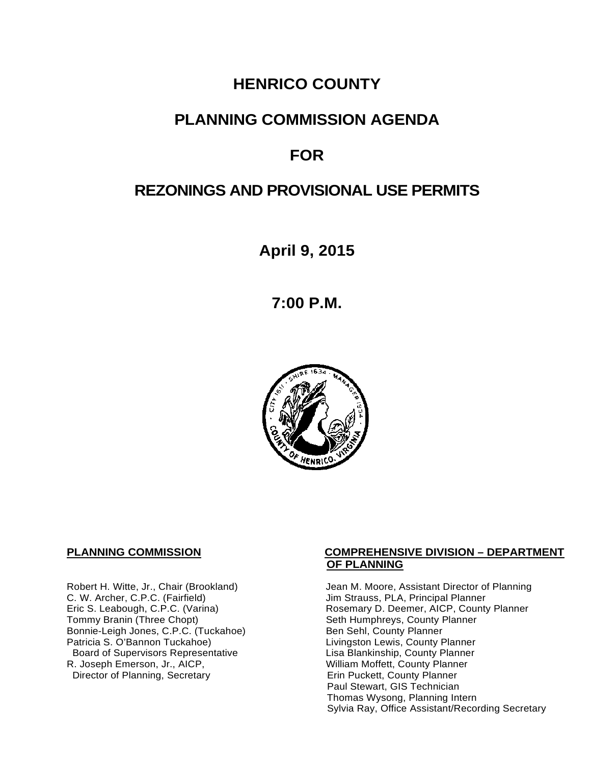## **HENRICO COUNTY**

## **PLANNING COMMISSION AGENDA**

# **FOR**

# **REZONINGS AND PROVISIONAL USE PERMITS**

**April 9, 2015**

**7:00 P.M.**



C. W. Archer, C.P.C. (Fairfield) and Summan Jim Strauss, PLA, Principal Planner<br>
Eric S. Leabough, C.P.C. (Varina) and Summan Rosemary D. Deemer, AICP, County Bonnie-Leigh Jones, C.P.C. (Tuckahoe)<br>Patricia S. O'Bannon Tuckahoe) Board of Supervisors Representative<br>R. Joseph Emerson, Jr., AICP, Director of Planning, Secretary

#### **PLANNING COMMISSION COMPREHENSIVE DIVISION – DEPARTMENT OF PLANNING**

Robert H. Witte, Jr., Chair (Brookland) Jean M. Moore, Assistant Director of Planning<br>C. W. Archer, C.P.C. (Fairfield) Jim Strauss, PLA, Principal Planner Eric S. Leabough, C.P.C. (Varina) Rosemary D. Deemer, AICP, County Planner<br>Tommy Branin (Three Chopt) Seth Humphreys, County Planner Seth Humphreys, County Planner<br>Ben Sehl, County Planner Livingston Lewis, County Planner<br>Lisa Blankinship, County Planner William Moffett, County Planner<br>Erin Puckett, County Planner Paul Stewart, GIS Technician Thomas Wysong, Planning Intern Sylvia Ray, Office Assistant/Recording Secretary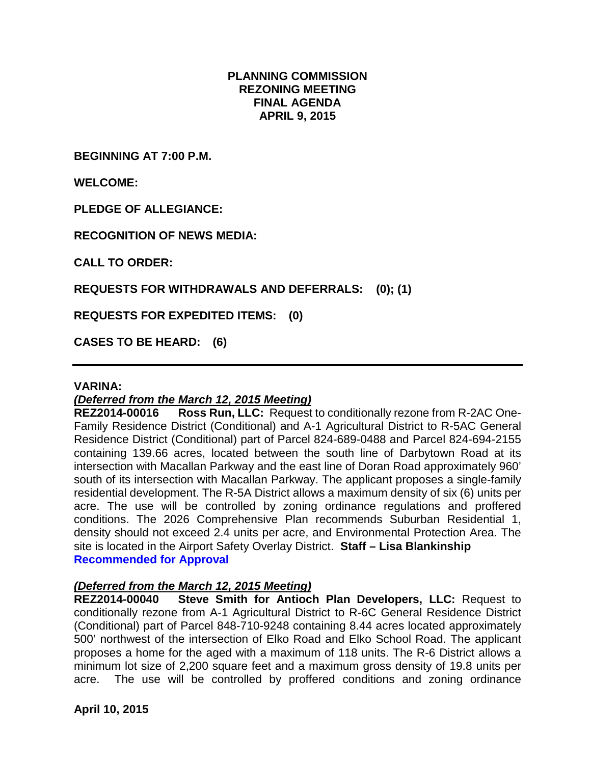### **PLANNING COMMISSION REZONING MEETING FINAL AGENDA APRIL 9, 2015**

**BEGINNING AT 7:00 P.M.**

**WELCOME:**

**PLEDGE OF ALLEGIANCE:**

**RECOGNITION OF NEWS MEDIA:**

**CALL TO ORDER:**

**REQUESTS FOR WITHDRAWALS AND DEFERRALS: (0); (1)**

**REQUESTS FOR EXPEDITED ITEMS: (0)**

**CASES TO BE HEARD: (6)**

#### **VARINA:**

### *(Deferred from the March 12, 2015 Meeting)*

**REZ2014-00016 Ross Run, LLC:** Request to conditionally rezone from R-2AC One-Family Residence District (Conditional) and A-1 Agricultural District to R-5AC General Residence District (Conditional) part of Parcel 824-689-0488 and Parcel 824-694-2155 containing 139.66 acres, located between the south line of Darbytown Road at its intersection with Macallan Parkway and the east line of Doran Road approximately 960' south of its intersection with Macallan Parkway. The applicant proposes a single-family residential development. The R-5A District allows a maximum density of six (6) units per acre. The use will be controlled by zoning ordinance regulations and proffered conditions. The 2026 Comprehensive Plan recommends Suburban Residential 1, density should not exceed 2.4 units per acre, and Environmental Protection Area. The site is located in the Airport Safety Overlay District. **Staff – Lisa Blankinship Recommended for Approval**

#### *(Deferred from the March 12, 2015 Meeting)*

**REZ2014-00040 Steve Smith for Antioch Plan Developers, LLC:** Request to conditionally rezone from A-1 Agricultural District to R-6C General Residence District (Conditional) part of Parcel 848-710-9248 containing 8.44 acres located approximately 500' northwest of the intersection of Elko Road and Elko School Road. The applicant proposes a home for the aged with a maximum of 118 units. The R-6 District allows a minimum lot size of 2,200 square feet and a maximum gross density of 19.8 units per acre. The use will be controlled by proffered conditions and zoning ordinance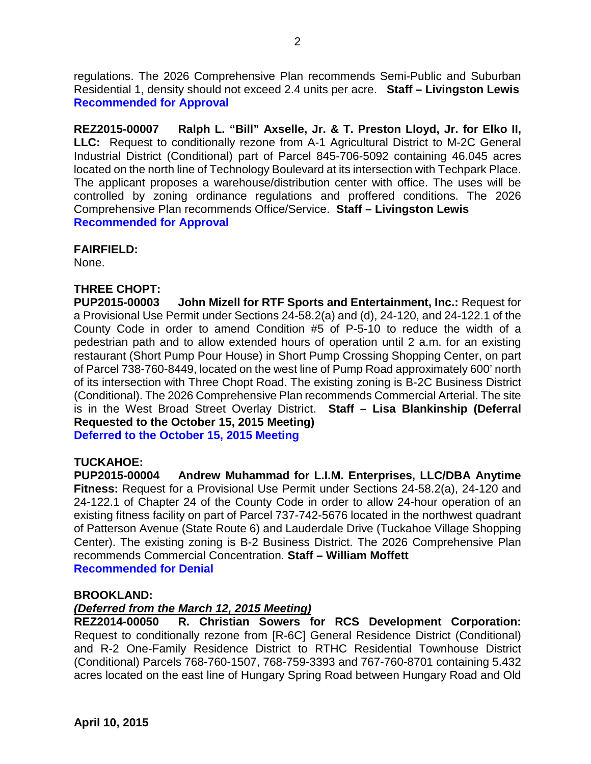regulations. The 2026 Comprehensive Plan recommends Semi-Public and Suburban Residential 1, density should not exceed 2.4 units per acre. **Staff – Livingston Lewis Recommended for Approval**

**REZ2015-00007 Ralph L. "Bill" Axselle, Jr. & T. Preston Lloyd, Jr. for Elko II, LLC:** Request to conditionally rezone from A-1 Agricultural District to M-2C General Industrial District (Conditional) part of Parcel 845-706-5092 containing 46.045 acres located on the north line of Technology Boulevard at its intersection with Techpark Place. The applicant proposes a warehouse/distribution center with office. The uses will be controlled by zoning ordinance regulations and proffered conditions. The 2026 Comprehensive Plan recommends Office/Service. **Staff – Livingston Lewis Recommended for Approval**

### **FAIRFIELD:**

None.

## **THREE CHOPT:**

**PUP2015-00003 John Mizell for RTF Sports and Entertainment, Inc.:** Request for a Provisional Use Permit under Sections 24-58.2(a) and (d), 24-120, and 24-122.1 of the County Code in order to amend Condition #5 of P-5-10 to reduce the width of a pedestrian path and to allow extended hours of operation until 2 a.m. for an existing restaurant (Short Pump Pour House) in Short Pump Crossing Shopping Center, on part of Parcel 738-760-8449, located on the west line of Pump Road approximately 600' north of its intersection with Three Chopt Road. The existing zoning is B-2C Business District (Conditional). The 2026 Comprehensive Plan recommends Commercial Arterial. The site is in the West Broad Street Overlay District. **Staff – Lisa Blankinship (Deferral Requested to the October 15, 2015 Meeting)**

**Deferred to the October 15, 2015 Meeting**

**TUCKAHOE: Andrew Muhammad for L.I.M. Enterprises, LLC/DBA Anytime Fitness:** Request for a Provisional Use Permit under Sections 24-58.2(a), 24-120 and 24-122.1 of Chapter 24 of the County Code in order to allow 24-hour operation of an existing fitness facility on part of Parcel 737-742-5676 located in the northwest quadrant of Patterson Avenue (State Route 6) and Lauderdale Drive (Tuckahoe Village Shopping Center). The existing zoning is B-2 Business District. The 2026 Comprehensive Plan recommends Commercial Concentration. **Staff – William Moffett Recommended for Denial**

#### **BROOKLAND:**

### *(Deferred from the March 12, 2015 Meeting)*

**REZ2014-00050 R. Christian Sowers for RCS Development Corporation:** Request to conditionally rezone from [R-6C] General Residence District (Conditional) and R-2 One-Family Residence District to RTHC Residential Townhouse District (Conditional) Parcels 768-760-1507, 768-759-3393 and 767-760-8701 containing 5.432 acres located on the east line of Hungary Spring Road between Hungary Road and Old